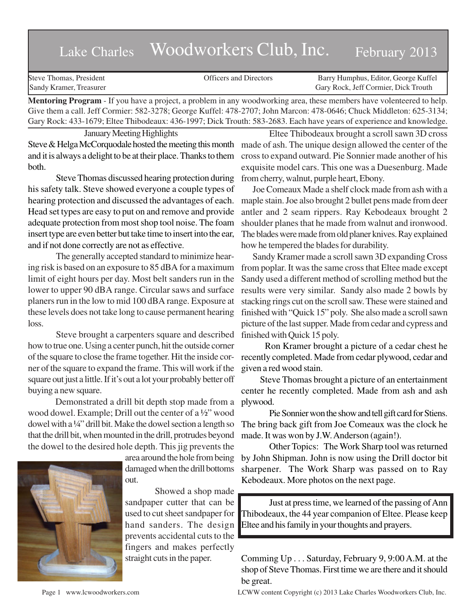## Lake Charles Woodworkers Club, Inc. February 2013

| Steve Thomas, President | <b>Officers and Directors</b> | Barry Humphus, Editor, George Kuffel |
|-------------------------|-------------------------------|--------------------------------------|
| Sandy Kramer, Treasurer |                               | Gary Rock, Jeff Cormier, Dick Trouth |
| .                       |                               |                                      |

**Mentoring Program** - If you have a project, a problem in any woodworking area, these members have volenteered to help. Give them a call. Jeff Cormier: 582-3278; George Kuffel: 478-2707; John Marcon: 478-0646; Chuck Middleton: 625-3134; Gary Rock: 433-1679; Eltee Thibodeaux: 436-1997; Dick Trouth: 583-2683. Each have years of experience and knowledge.

January Meeting Highlights Steve & Helga McCorquodale hosted the meeting this month and it is always a delight to be at their place. Thanks to them both.

Steve Thomas discussed hearing protection during his safety talk. Steve showed everyone a couple types of hearing protection and discussed the advantages of each. Head set types are easy to put on and remove and provide adequate protection from most shop tool noise. The foam insert type are even better but take time to insert into the ear, and if not done correctly are not as effective.

The generally accepted standard to minimize hearing risk is based on an exposure to 85 dBA for a maximum limit of eight hours per day. Most belt sanders run in the lower to upper 90 dBA range. Circular saws and surface planers run in the low to mid 100 dBA range. Exposure at these levels does not take long to cause permanent hearing loss.

Steve brought a carpenters square and described how to true one. Using a center punch, hit the outside corner of the square to close the frame together. Hit the inside corner of the square to expand the frame. This will work if the square out just a little. If it's out a lot your probably better off buying a new square.

 Demonstrated a drill bit depth stop made from a wood dowel. Example; Drill out the center of a ½" wood dowel with a ¼" drill bit. Make the dowel section a length so that the drill bit, when mounted in the drill, protrudes beyond the dowel to the desired hole depth. This jig prevents the



area around the hole from being damaged when the drill bottoms out.

 Showed a shop made sandpaper cutter that can be used to cut sheet sandpaper for hand sanders. The design prevents accidental cuts to the fingers and makes perfectly straight cuts in the paper.

Eltee Thibodeaux brought a scroll sawn 3D cross made of ash. The unique design allowed the center of the cross to expand outward. Pie Sonnier made another of his exquisite model cars. This one was a Duesenburg. Made from cherry, walnut, purple heart, Ebony.

 Joe Comeaux Made a shelf clock made from ash with a maple stain. Joe also brought 2 bullet pens made from deer antler and 2 seam rippers. Ray Kebodeaux brought 2 shoulder planes that he made from walnut and ironwood. The blades were made from old planer knives. Ray explained how he tempered the blades for durability.

 Sandy Kramer made a scroll sawn 3D expanding Cross from poplar. It was the same cross that Eltee made except Sandy used a different method of scrolling method but the results were very similar. Sandy also made 2 bowls by stacking rings cut on the scroll saw. These were stained and finished with "Quick 15" poly. She also made a scroll sawn picture of the last supper. Made from cedar and cypress and finished with Quick 15 poly.

 Ron Kramer brought a picture of a cedar chest he recently completed. Made from cedar plywood, cedar and given a red wood stain.

 Steve Thomas brought a picture of an entertainment center he recently completed. Made from ash and ash plywood.

Pie Sonnier won the show and tell gift card for Stiens. The bring back gift from Joe Comeaux was the clock he made. It was won by J.W. Anderson (again!).

Other Topics: The Work Sharp tool was returned by John Shipman. John is now using the Drill doctor bit sharpener. The Work Sharp was passed on to Ray Kebodeaux. More photos on the next page.

Just at press time, we learned of the passing of Ann Thibodeaux, the 44 year companion of Eltee. Please keep Eltee and his family in your thoughts and prayers.

Comming Up . . . Saturday, February 9, 9:00 A.M. at the shop of Steve Thomas. First time we are there and it should be great.

Page 1 www.lcwoodworkers.com LCWW content Copyright (c) 2013 Lake Charles Woodworkers Club, Inc.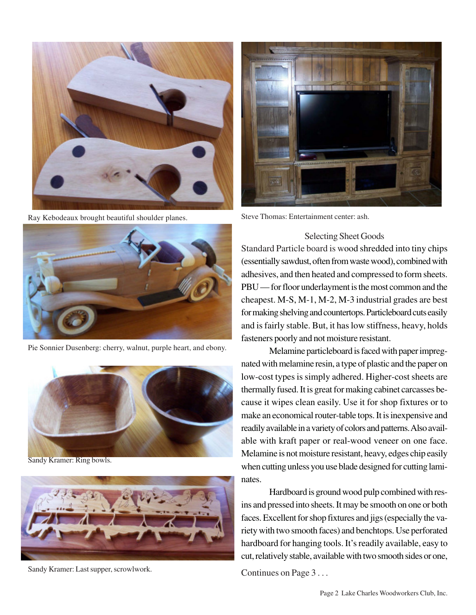

Ray Kebodeaux brought beautiful shoulder planes.



Pie Sonnier Dusenberg: cherry, walnut, purple heart, and ebony.



Sandy Kramer: Ring bowls.



Sandy Kramer: Last supper, scrowlwork.



Steve Thomas: Entertainment center: ash.

## Selecting Sheet Goods

Standard Particle board is wood shredded into tiny chips (essentially sawdust, often from waste wood), combined with adhesives, and then heated and compressed to form sheets. PBU — for floor underlayment is the most common and the cheapest. M-S, M-1, M-2, M-3 industrial grades are best for making shelving and countertops. Particleboard cuts easily and is fairly stable. But, it has low stiffness, heavy, holds fasteners poorly and not moisture resistant.

Melamine particleboard is faced with paper impregnated with melamine resin, a type of plastic and the paper on low-cost types is simply adhered. Higher-cost sheets are thermally fused. It is great for making cabinet carcasses because it wipes clean easily. Use it for shop fixtures or to make an economical router-table tops. It is inexpensive and readily available in a variety of colors and patterns. Also available with kraft paper or real-wood veneer on one face. Melamine is not moisture resistant, heavy, edges chip easily when cutting unless you use blade designed for cutting laminates.

Hardboard is ground wood pulp combined with resins and pressed into sheets. It may be smooth on one or both faces. Excellent for shop fixtures and jigs (especially the variety with two smooth faces) and benchtops. Use perforated hardboard for hanging tools. It's readily available, easy to cut, relatively stable, available with two smooth sides or one,

Continues on Page 3 . . .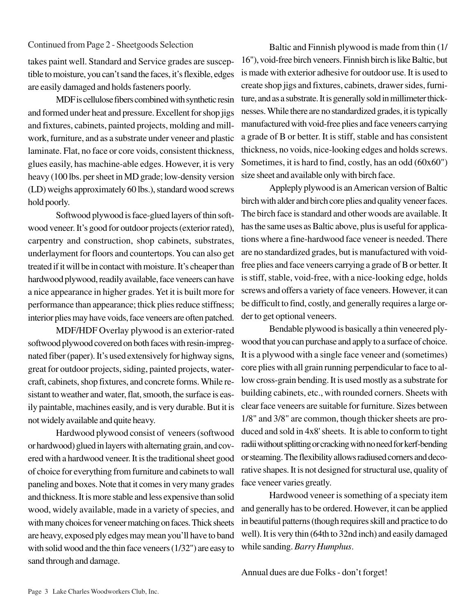takes paint well. Standard and Service grades are susceptible to moisture, you can't sand the faces, it's flexible, edges are easily damaged and holds fasteners poorly.

MDF is cellulose fibers combined with synthetic resin and formed under heat and pressure. Excellent for shop jigs and fixtures, cabinets, painted projects, molding and millwork, furniture, and as a substrate under veneer and plastic laminate. Flat, no face or core voids, consistent thickness, glues easily, has machine-able edges. However, it is very heavy (100 lbs. per sheet in MD grade; low-density version (LD) weighs approximately 60 lbs.), standard wood screws hold poorly.

Softwood plywood is face-glued layers of thin softwood veneer. It's good for outdoor projects (exterior rated), carpentry and construction, shop cabinets, substrates, underlayment for floors and countertops. You can also get treated if it will be in contact with moisture. It's cheaper than hardwood plywood, readily available, face veneers can have a nice appearance in higher grades. Yet it is built more for performance than appearance; thick plies reduce stiffness; interior plies may have voids, face veneers are often patched.

MDF/HDF Overlay plywood is an exterior-rated softwood plywood covered on both faces with resin-impregnated fiber (paper). It's used extensively for highway signs, great for outdoor projects, siding, painted projects, watercraft, cabinets, shop fixtures, and concrete forms. While resistant to weather and water, flat, smooth, the surface is easily paintable, machines easily, and is very durable. But it is not widely available and quite heavy.

Hardwood plywood consist of veneers (softwood or hardwood) glued in layers with alternating grain, and covered with a hardwood veneer. It is the traditional sheet good of choice for everything from furniture and cabinets to wall paneling and boxes. Note that it comes in very many grades and thickness. It is more stable and less expensive than solid wood, widely available, made in a variety of species, and with many choices for veneer matching on faces. Thick sheets are heavy, exposed ply edges may mean you'll have to band with solid wood and the thin face veneers (1/32") are easy to sand through and damage.

Continued from Page 2 - Sheetgoods Selection Baltic and Finnish plywood is made from thin (1/ 16"), void-free birch veneers. Finnish birch is like Baltic, but is made with exterior adhesive for outdoor use. It is used to create shop jigs and fixtures, cabinets, drawer sides, furniture, and as a substrate. It is generally sold in millimeter thicknesses. While there are no standardized grades, it is typically manufactured with void-free plies and face veneers carrying a grade of B or better. It is stiff, stable and has consistent thickness, no voids, nice-looking edges and holds screws. Sometimes, it is hard to find, costly, has an odd (60x60") size sheet and available only with birch face.

> Appleply plywood is an American version of Baltic birch with alder and birch core plies and quality veneer faces. The birch face is standard and other woods are available. It has the same uses as Baltic above, plus is useful for applications where a fine-hardwood face veneer is needed. There are no standardized grades, but is manufactured with voidfree plies and face veneers carrying a grade of B or better. It is stiff, stable, void-free, with a nice-looking edge, holds screws and offers a variety of face veneers. However, it can be difficult to find, costly, and generally requires a large order to get optional veneers.

> Bendable plywood is basically a thin veneered plywood that you can purchase and apply to a surface of choice. It is a plywood with a single face veneer and (sometimes) core plies with all grain running perpendicular to face to allow cross-grain bending. It is used mostly as a substrate for building cabinets, etc., with rounded corners. Sheets with clear face veneers are suitable for furniture. Sizes between 1/8" and 3/8" are common, though thicker sheets are produced and sold in 4x8' sheets. It is able to conform to tight radii without splitting or cracking with no need for kerf-bending or steaming. The flexibility allows radiused corners and decorative shapes. It is not designed for structural use, quality of face veneer varies greatly.

> Hardwood veneer is something of a speciaty item and generally has to be ordered. However, it can be applied in beautiful patterns (though requires skill and practice to do well). It is very thin (64th to 32nd inch) and easily damaged while sanding. *Barry Humphus*.

Annual dues are due Folks - don't forget!